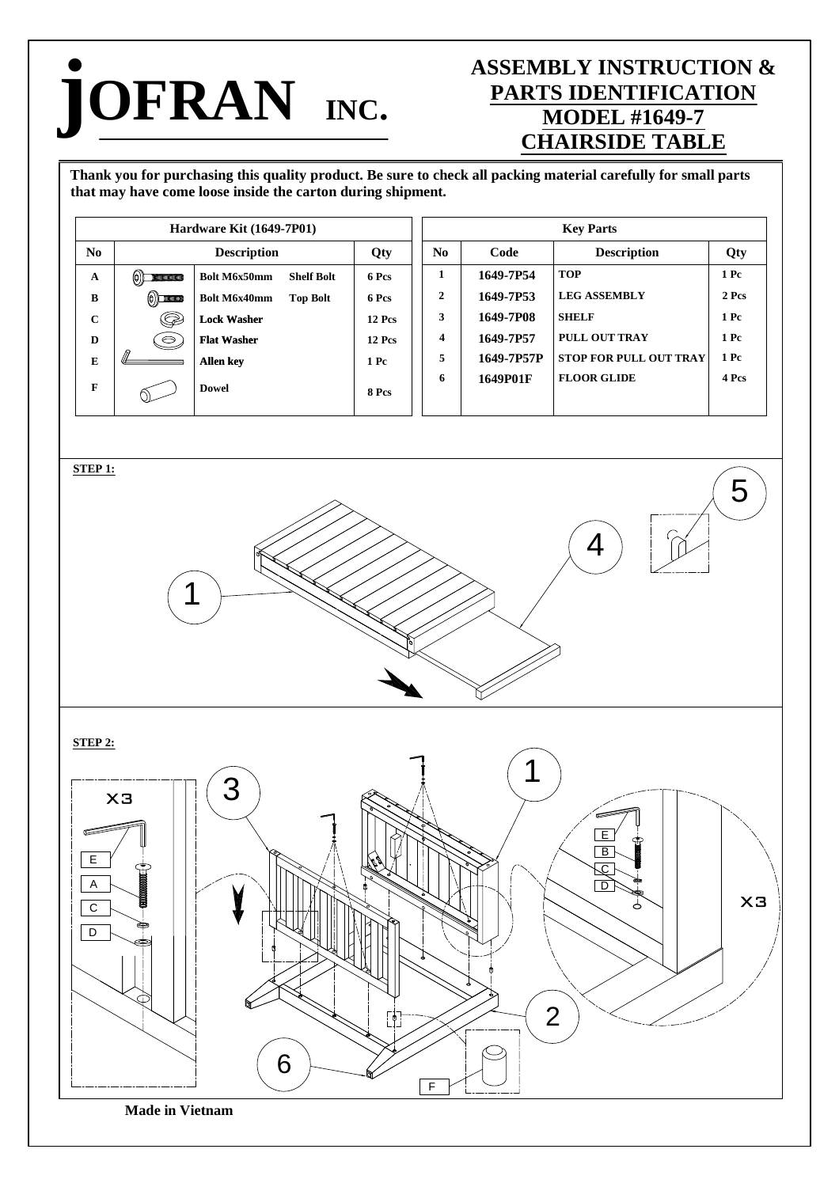## **jOFRAN INC.**

## **ASSEMBLY INSTRUCTION & PARTS IDENTIFICATION MODEL #1649-7 CHAIRSIDE TABLE**

Thank you for purchasing this quality product. Be sure to check all packing material carefully for small parts **that may have come loose inside the carton during shipment.**

| $\mathbf{Code}$<br><b>Description</b><br><b>Description</b><br>$\mathbf{No}$<br>Qty<br>Qty<br><b>TOP</b><br>1649-7P54<br>$1\ \mathrm{Pe}$<br>$\mathbf{1}$<br>Bolt M6x50mm<br>෧<br><b>Shelf Bolt</b><br>6 Pcs<br>A<br><b>KINNINGHIMMINI</b><br><b>LEG ASSEMBLY</b><br>2 Pcs<br>$\boldsymbol{2}$<br>1649-7P53<br>Bolt M6x40mm<br>6 Pcs<br><b>Top Bolt</b><br>$\, {\bf B}$<br>$\left( \bigcirc \right)$ and $\left( \bigcirc \right)$<br><b>SHELF</b><br>1 <sub>pc</sub><br>3<br>1649-7P08<br>Q<br>$\mathbf C$<br><b>Lock Washer</b><br><b>12 Pcs</b><br>PULL OUT TRAY<br>$1\ \mathrm{Pc}$<br>1649-7P57<br>4<br>$\Theta$<br><b>12 Pcs</b><br><b>Flat Washer</b><br>$\mathbf D$<br>$1\ \mathrm{Pc}$<br>1649-7P57P<br>STOP FOR PULL OUT TRAY<br>5<br>${\bf E}$<br>Allen key<br>$1\ \mathrm{Pc}$<br>1649P01F<br><b>FLOOR GLIDE</b><br>4 Pcs<br>6<br>F<br><b>Dowel</b><br>8 Pcs<br>5<br>4<br>1 | $\mathbf{N}\mathbf{o}$<br>$STEP1:$<br>$STEP2:$<br>З<br>X3 | Hardware Kit (1649-7P01) |  |  |  |  | <b>Key Parts</b> |  |  |  |
|-----------------------------------------------------------------------------------------------------------------------------------------------------------------------------------------------------------------------------------------------------------------------------------------------------------------------------------------------------------------------------------------------------------------------------------------------------------------------------------------------------------------------------------------------------------------------------------------------------------------------------------------------------------------------------------------------------------------------------------------------------------------------------------------------------------------------------------------------------------------------------------------|-----------------------------------------------------------|--------------------------|--|--|--|--|------------------|--|--|--|
|                                                                                                                                                                                                                                                                                                                                                                                                                                                                                                                                                                                                                                                                                                                                                                                                                                                                                         |                                                           |                          |  |  |  |  |                  |  |  |  |
|                                                                                                                                                                                                                                                                                                                                                                                                                                                                                                                                                                                                                                                                                                                                                                                                                                                                                         |                                                           |                          |  |  |  |  |                  |  |  |  |
|                                                                                                                                                                                                                                                                                                                                                                                                                                                                                                                                                                                                                                                                                                                                                                                                                                                                                         |                                                           |                          |  |  |  |  |                  |  |  |  |
|                                                                                                                                                                                                                                                                                                                                                                                                                                                                                                                                                                                                                                                                                                                                                                                                                                                                                         |                                                           |                          |  |  |  |  |                  |  |  |  |
|                                                                                                                                                                                                                                                                                                                                                                                                                                                                                                                                                                                                                                                                                                                                                                                                                                                                                         |                                                           |                          |  |  |  |  |                  |  |  |  |
|                                                                                                                                                                                                                                                                                                                                                                                                                                                                                                                                                                                                                                                                                                                                                                                                                                                                                         |                                                           |                          |  |  |  |  |                  |  |  |  |
|                                                                                                                                                                                                                                                                                                                                                                                                                                                                                                                                                                                                                                                                                                                                                                                                                                                                                         |                                                           |                          |  |  |  |  |                  |  |  |  |
|                                                                                                                                                                                                                                                                                                                                                                                                                                                                                                                                                                                                                                                                                                                                                                                                                                                                                         |                                                           |                          |  |  |  |  |                  |  |  |  |
|                                                                                                                                                                                                                                                                                                                                                                                                                                                                                                                                                                                                                                                                                                                                                                                                                                                                                         |                                                           |                          |  |  |  |  |                  |  |  |  |

F

2

**Made in Vietnam**

6